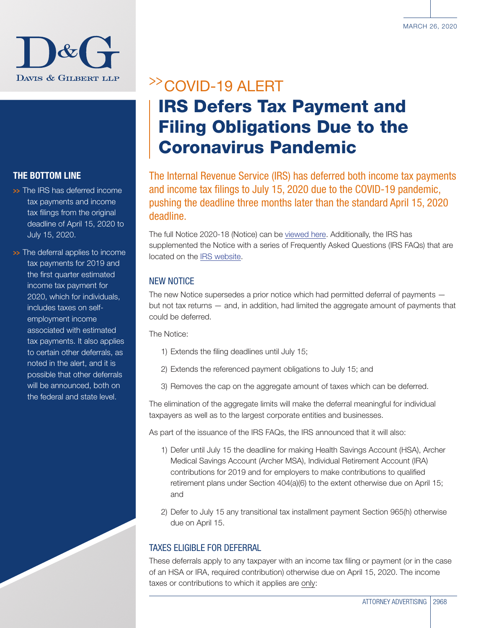

### THE BOTTOM LINE

>> The IRS has deferred income tax payments and income tax filings from the original deadline of April 15, 2020 to July 15, 2020.

>> The deferral applies to income tax payments for 2019 and the first quarter estimated income tax payment for 2020, which for individuals, includes taxes on selfemployment income associated with estimated tax payments. It also applies to certain other deferrals, as noted in the alert, and it is possible that other deferrals will be announced, both on the federal and state level.

# >>COVID-19 ALERT IRS Defers Tax Payment and Filing Obligations Due to the Coronavirus Pandemic

The Internal Revenue Service (IRS) has deferred both income tax payments and income tax filings to July 15, 2020 due to the COVID-19 pandemic, pushing the deadline three months later than the standard April 15, 2020 deadline.

The full Notice 2020-18 (Notice) can be [viewed here.](https://www.irs.gov/pub/irs-drop/n-20-18.pdf) Additionally, the IRS has supplemented the Notice with a series of Frequently Asked Questions (IRS FAQs) that are located on the [IRS website](https://www.irs.gov/newsroom/filing-and-payment-deadlines-questions-and-answers).

#### NEW NOTICE

The new Notice supersedes a prior notice which had permitted deferral of payments but not tax returns — and, in addition, had limited the aggregate amount of payments that could be deferred.

The Notice:

- 1) Extends the filing deadlines until July 15;
- 2) Extends the referenced payment obligations to July 15; and
- 3) Removes the cap on the aggregate amount of taxes which can be deferred.

The elimination of the aggregate limits will make the deferral meaningful for individual taxpayers as well as to the largest corporate entities and businesses.

As part of the issuance of the IRS FAQs, the IRS announced that it will also:

- 1) Defer until July 15 the deadline for making Health Savings Account (HSA), Archer Medical Savings Account (Archer MSA), Individual Retirement Account (IRA) contributions for 2019 and for employers to make contributions to qualified retirement plans under Section 404(a)(6) to the extent otherwise due on April 15; and
- 2) Defer to July 15 any transitional tax installment payment Section 965(h) otherwise due on April 15.

#### TAXES ELIGIBLE FOR DEFERRAL

These deferrals apply to any taxpayer with an income tax filing or payment (or in the case of an HSA or IRA, required contribution) otherwise due on April 15, 2020. The income taxes or contributions to which it applies are only: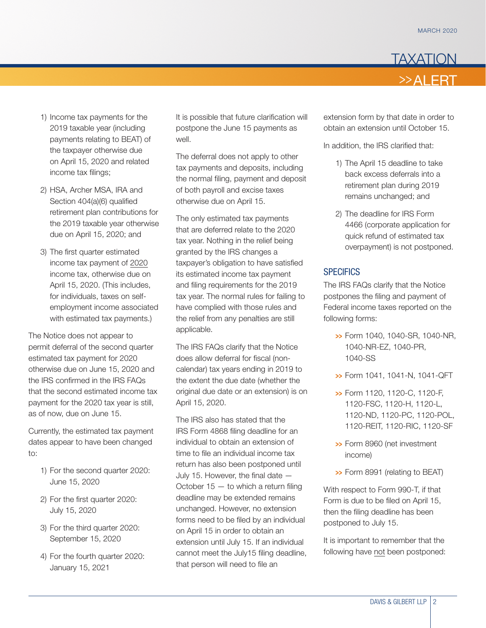

- 1) Income tax payments for the 2019 taxable year (including payments relating to BEAT) of the taxpayer otherwise due on April 15, 2020 and related income tax filings;
- 2) HSA, Archer MSA, IRA and Section 404(a)(6) qualified retirement plan contributions for the 2019 taxable year otherwise due on April 15, 2020; and
- 3) The first quarter estimated income tax payment of 2020 income tax, otherwise due on April 15, 2020. (This includes, for individuals, taxes on selfemployment income associated with estimated tax payments.)

The Notice does not appear to permit deferral of the second quarter estimated tax payment for 2020 otherwise due on June 15, 2020 and the IRS confirmed in the IRS FAQs that the second estimated income tax payment for the 2020 tax year is still, as of now, due on June 15.

Currently, the estimated tax payment dates appear to have been changed to:

- 1) For the second quarter 2020: June 15, 2020
- 2) For the first quarter 2020: July 15, 2020
- 3) For the third quarter 2020: September 15, 2020
- 4) For the fourth quarter 2020: January 15, 2021

It is possible that future clarification will postpone the June 15 payments as well.

The deferral does not apply to other tax payments and deposits, including the normal filing, payment and deposit of both payroll and excise taxes otherwise due on April 15.

The only estimated tax payments that are deferred relate to the 2020 tax year. Nothing in the relief being granted by the IRS changes a taxpayer's obligation to have satisfied its estimated income tax payment and filing requirements for the 2019 tax year. The normal rules for failing to have complied with those rules and the relief from any penalties are still applicable.

The IRS FAQs clarify that the Notice does allow deferral for fiscal (noncalendar) tax years ending in 2019 to the extent the due date (whether the original due date or an extension) is on April 15, 2020.

The IRS also has stated that the IRS Form 4868 filing deadline for an individual to obtain an extension of time to file an individual income tax return has also been postponed until July 15. However, the final date — October  $15 -$  to which a return filing deadline may be extended remains unchanged. However, no extension forms need to be filed by an individual on April 15 in order to obtain an extension until July 15. If an individual cannot meet the July15 filing deadline, that person will need to file an

extension form by that date in order to obtain an extension until October 15.

In addition, the IRS clarified that:

- 1) The April 15 deadline to take back excess deferrals into a retirement plan during 2019 remains unchanged; and
- 2) The deadline for IRS Form 4466 (corporate application for quick refund of estimated tax overpayment) is not postponed.

#### **SPECIFICS**

The IRS FAQs clarify that the Notice postpones the filing and payment of Federal income taxes reported on the following forms:

- >>> Form 1040, 1040-SR, 1040-NR, 1040-NR-EZ, 1040-PR, 1040-SS
- >>> Form 1041, 1041-N, 1041-QFT
- >>> Form 1120, 1120-C, 1120-F, 1120-FSC, 1120-H, 1120-L, 1120-ND, 1120-PC, 1120-POL, 1120-REIT, 1120-RIC, 1120-SF
- >>> Form 8960 (net investment income)
- >>> Form 8991 (relating to BEAT)

With respect to Form 990-T, if that Form is due to be filed on April 15, then the filing deadline has been postponed to July 15.

It is important to remember that the following have not been postponed: